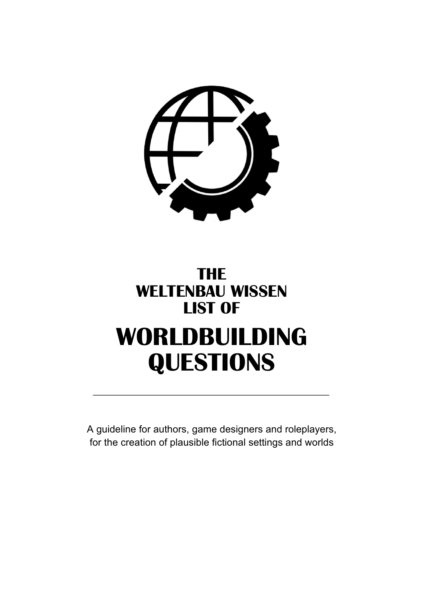

# **THE WELTENBAU WISSEN LIST OF WORLDBUILDING QUESTIONS**

A guideline for authors, game designers and roleplayers, for the creation of plausible fictional settings and worlds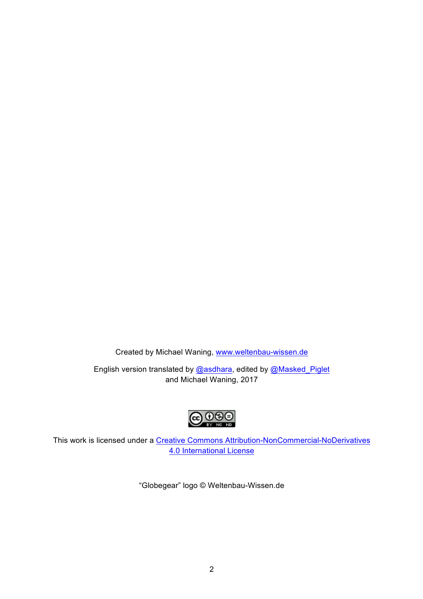Created by Michael Waning, [www.weltenbau-wissen.de](http://www.weltenbau-wissen.de/)

English version translated by [@asdhara](https://twitter.com/asdhara), edited by [@Masked\\_Piglet](https://twitter.com/Masked_Piglet) and Michael Waning, 2017



This work is licensed under a [Creative Commons Attribution-NonCommercial-NoDerivatives](http://creativecommons.org/licenses/by-nc-nd/4.0/) [4.0 International License](http://creativecommons.org/licenses/by-nc-nd/4.0/)

"Globegear" logo © Weltenbau-Wissen.de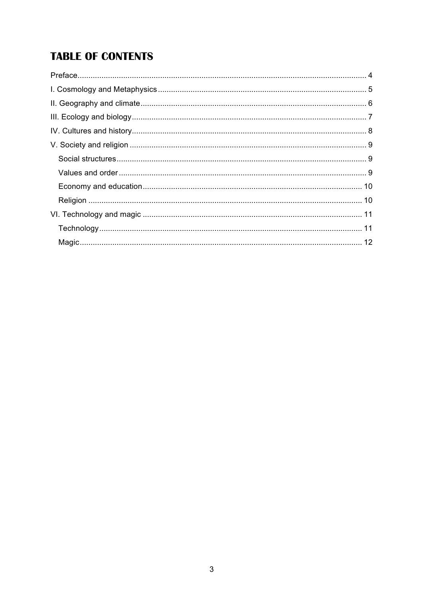# **TABLE OF CONTENTS**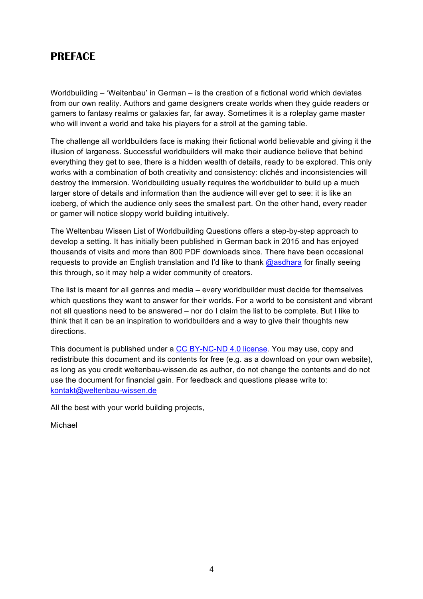# <span id="page-3-0"></span>**PREFACE**

Worldbuilding – 'Weltenbau' in German – is the creation of a fictional world which deviates from our own reality. Authors and game designers create worlds when they guide readers or gamers to fantasy realms or galaxies far, far away. Sometimes it is a roleplay game master who will invent a world and take his players for a stroll at the gaming table.

The challenge all worldbuilders face is making their fictional world believable and giving it the illusion of largeness. Successful worldbuilders will make their audience believe that behind everything they get to see, there is a hidden wealth of details, ready to be explored. This only works with a combination of both creativity and consistency: clichés and inconsistencies will destroy the immersion. Worldbuilding usually requires the worldbuilder to build up a much larger store of details and information than the audience will ever get to see: it is like an iceberg, of which the audience only sees the smallest part. On the other hand, every reader or gamer will notice sloppy world building intuitively.

The Weltenbau Wissen List of Worldbuilding Questions offers a step-by-step approach to develop a setting. It has initially been published in German back in 2015 and has enjoyed thousands of visits and more than 800 PDF downloads since. There have been occasional requests to provide an English translation and I'd like to thank [@asdhara](https://twitter.com/asdhara) for finally seeing this through, so it may help a wider community of creators.

The list is meant for all genres and media – every worldbuilder must decide for themselves which questions they want to answer for their worlds. For a world to be consistent and vibrant not all questions need to be answered – nor do I claim the list to be complete. But I like to think that it can be an inspiration to worldbuilders and a way to give their thoughts new directions.

This document is published under a [CC BY-NC-ND 4.0 license](https://creativecommons.org/licenses/by-nc-nd/4.0/). You may use, copy and redistribute this document and its contents for free (e.g. as a download on your own website), as long as you credit weltenbau-wissen.de as author, do not change the contents and do not use the document for financial gain. For feedback and questions please write to: [kontakt@weltenbau-wissen.de](mailto:kontakt@weltenbau-wissen.de)

All the best with your world building projects,

Michael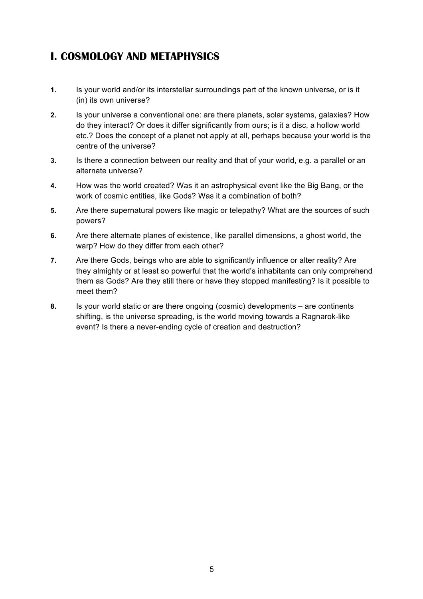# <span id="page-4-0"></span>**I. COSMOLOGY AND METAPHYSICS**

- **1.** Is your world and/or its interstellar surroundings part of the known universe, or is it (in) its own universe?
- **2.** Is your universe a conventional one: are there planets, solar systems, galaxies? How do they interact? Or does it differ significantly from ours; is it a disc, a hollow world etc.? Does the concept of a planet not apply at all, perhaps because your world is the centre of the universe?
- **3.** Is there a connection between our reality and that of your world, e.g. a parallel or an alternate universe?
- **4.** How was the world created? Was it an astrophysical event like the Big Bang, or the work of cosmic entities, like Gods? Was it a combination of both?
- **5.** Are there supernatural powers like magic or telepathy? What are the sources of such powers?
- **6.** Are there alternate planes of existence, like parallel dimensions, a ghost world, the warp? How do they differ from each other?
- **7.** Are there Gods, beings who are able to significantly influence or alter reality? Are they almighty or at least so powerful that the world's inhabitants can only comprehend them as Gods? Are they still there or have they stopped manifesting? Is it possible to meet them?
- **8.** Is your world static or are there ongoing (cosmic) developments are continents shifting, is the universe spreading, is the world moving towards a Ragnarok-like event? Is there a never-ending cycle of creation and destruction?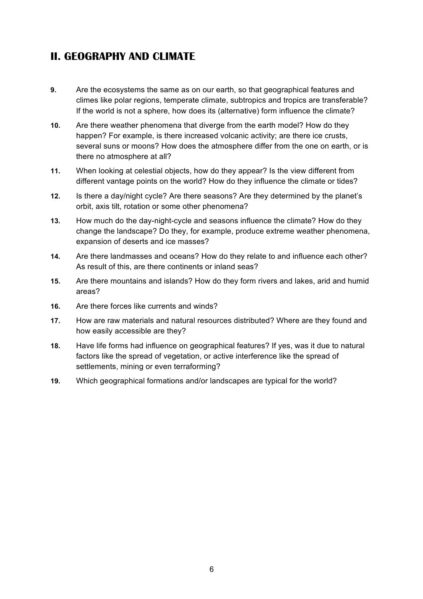# <span id="page-5-0"></span>**II. GEOGRAPHY AND CLIMATE**

- **9.** Are the ecosystems the same as on our earth, so that geographical features and climes like polar regions, temperate climate, subtropics and tropics are transferable? If the world is not a sphere, how does its (alternative) form influence the climate?
- **10.** Are there weather phenomena that diverge from the earth model? How do they happen? For example, is there increased volcanic activity; are there ice crusts, several suns or moons? How does the atmosphere differ from the one on earth, or is there no atmosphere at all?
- **11.** When looking at celestial objects, how do they appear? Is the view different from different vantage points on the world? How do they influence the climate or tides?
- **12.** Is there a day/night cycle? Are there seasons? Are they determined by the planet's orbit, axis tilt, rotation or some other phenomena?
- **13.** How much do the day-night-cycle and seasons influence the climate? How do they change the landscape? Do they, for example, produce extreme weather phenomena, expansion of deserts and ice masses?
- **14.** Are there landmasses and oceans? How do they relate to and influence each other? As result of this, are there continents or inland seas?
- **15.** Are there mountains and islands? How do they form rivers and lakes, arid and humid areas?
- **16.** Are there forces like currents and winds?
- **17.** How are raw materials and natural resources distributed? Where are they found and how easily accessible are they?
- **18.** Have life forms had influence on geographical features? If yes, was it due to natural factors like the spread of vegetation, or active interference like the spread of settlements, mining or even terraforming?
- **19.** Which geographical formations and/or landscapes are typical for the world?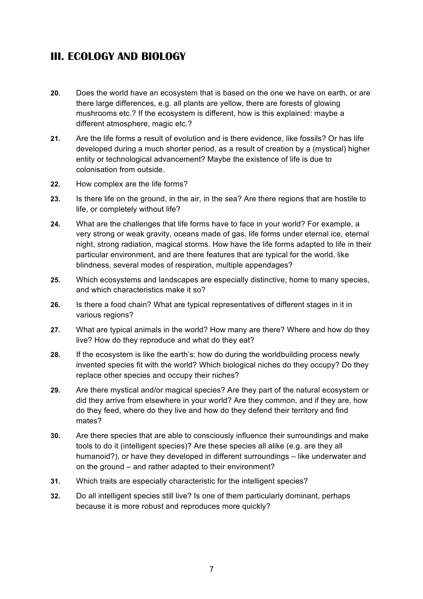# <span id="page-6-0"></span>**III. ECOLOGY AND BIOLOGY**

- **20.** Does the world have an ecosystem that is based on the one we have on earth, or are there large differences, e.g. all plants are yellow, there are forests of glowing mushrooms etc.? If the ecosystem is different, how is this explained: maybe a different atmosphere, magic etc.?
- **21.** Are the life forms a result of evolution and is there evidence, like fossils? Or has life developed during a much shorter period, as a result of creation by a (mystical) higher entity or technological advancement? Maybe the existence of life is due to colonisation from outside.
- **22.** How complex are the life forms?
- **23.** Is there life on the ground, in the air, in the sea? Are there regions that are hostile to life, or completely without life?
- **24.** What are the challenges that life forms have to face in your world? For example, a very strong or weak gravity, oceans made of gas, life forms under eternal ice, eternal night, strong radiation, magical storms. How have the life forms adapted to life in their particular environment, and are there features that are typical for the world, like blindness, several modes of respiration, multiple appendages?
- **25.** Which ecosystems and landscapes are especially distinctive, home to many species, and which characteristics make it so?
- **26.** Is there a food chain? What are typical representatives of different stages in it in various regions?
- **27.** What are typical animals in the world? How many are there? Where and how do they live? How do they reproduce and what do they eat?
- **28.** If the ecosystem is like the earth's: how do during the worldbuilding process newly invented species fit with the world? Which biological niches do they occupy? Do they replace other species and occupy their niches?
- **29.** Are there mystical and/or magical species? Are they part of the natural ecosystem or did they arrive from elsewhere in your world? Are they common, and if they are, how do they feed, where do they live and how do they defend their territory and find mates?
- **30.** Are there species that are able to consciously influence their surroundings and make tools to do it (intelligent species)? Are these species all alike (e.g. are they all humanoid?), or have they developed in different surroundings – like underwater and on the ground – and rather adapted to their environment?
- **31.** Which traits are especially characteristic for the intelligent species?
- **32.** Do all intelligent species still live? Is one of them particularly dominant, perhaps because it is more robust and reproduces more quickly?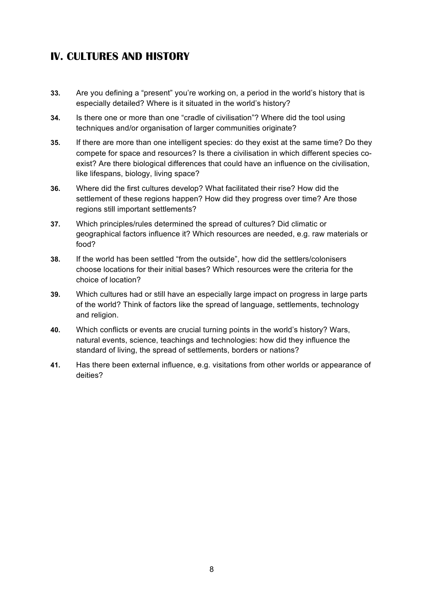# <span id="page-7-0"></span>**IV. CULTURES AND HISTORY**

- **33.** Are you defining a "present" you're working on, a period in the world's history that is especially detailed? Where is it situated in the world's history?
- **34.** Is there one or more than one "cradle of civilisation"? Where did the tool using techniques and/or organisation of larger communities originate?
- **35.** If there are more than one intelligent species: do they exist at the same time? Do they compete for space and resources? Is there a civilisation in which different species coexist? Are there biological differences that could have an influence on the civilisation, like lifespans, biology, living space?
- **36.** Where did the first cultures develop? What facilitated their rise? How did the settlement of these regions happen? How did they progress over time? Are those regions still important settlements?
- **37.** Which principles/rules determined the spread of cultures? Did climatic or geographical factors influence it? Which resources are needed, e.g. raw materials or food?
- **38.** If the world has been settled "from the outside", how did the settlers/colonisers choose locations for their initial bases? Which resources were the criteria for the choice of location?
- **39.** Which cultures had or still have an especially large impact on progress in large parts of the world? Think of factors like the spread of language, settlements, technology and religion.
- **40.** Which conflicts or events are crucial turning points in the world's history? Wars, natural events, science, teachings and technologies: how did they influence the standard of living, the spread of settlements, borders or nations?
- **41.** Has there been external influence, e.g. visitations from other worlds or appearance of deities?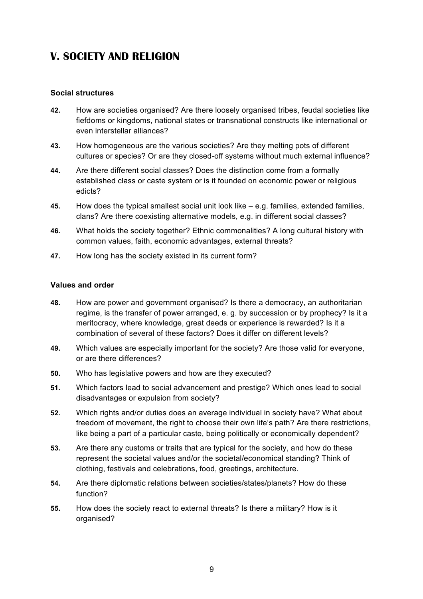## <span id="page-8-0"></span>**V. SOCIETY AND RELIGION**

#### <span id="page-8-1"></span>**Social structures**

- **42.** How are societies organised? Are there loosely organised tribes, feudal societies like fiefdoms or kingdoms, national states or transnational constructs like international or even interstellar alliances?
- **43.** How homogeneous are the various societies? Are they melting pots of different cultures or species? Or are they closed-off systems without much external influence?
- **44.** Are there different social classes? Does the distinction come from a formally established class or caste system or is it founded on economic power or religious edicts?
- **45.** How does the typical smallest social unit look like e.g. families, extended families, clans? Are there coexisting alternative models, e.g. in different social classes?
- **46.** What holds the society together? Ethnic commonalities? A long cultural history with common values, faith, economic advantages, external threats?
- **47.** How long has the society existed in its current form?

#### <span id="page-8-2"></span>**Values and order**

- **48.** How are power and government organised? Is there a democracy, an authoritarian regime, is the transfer of power arranged, e. g. by succession or by prophecy? Is it a meritocracy, where knowledge, great deeds or experience is rewarded? Is it a combination of several of these factors? Does it differ on different levels?
- **49.** Which values are especially important for the society? Are those valid for everyone, or are there differences?
- **50.** Who has legislative powers and how are they executed?
- **51.** Which factors lead to social advancement and prestige? Which ones lead to social disadvantages or expulsion from society?
- **52.** Which rights and/or duties does an average individual in society have? What about freedom of movement, the right to choose their own life's path? Are there restrictions, like being a part of a particular caste, being politically or economically dependent?
- **53.** Are there any customs or traits that are typical for the society, and how do these represent the societal values and/or the societal/economical standing? Think of clothing, festivals and celebrations, food, greetings, architecture.
- **54.** Are there diplomatic relations between societies/states/planets? How do these function?
- **55.** How does the society react to external threats? Is there a military? How is it organised?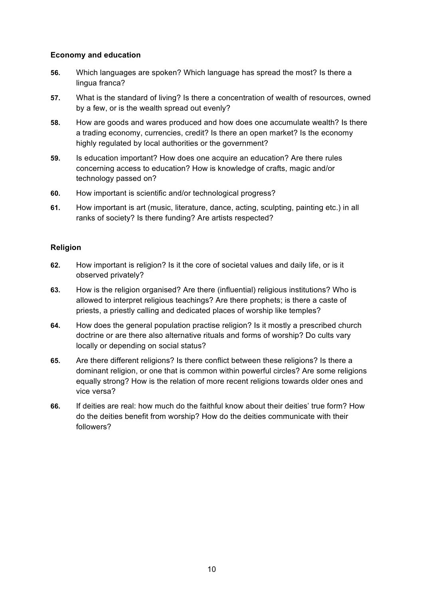#### <span id="page-9-0"></span>**Economy and education**

- **56.** Which languages are spoken? Which language has spread the most? Is there a lingua franca?
- **57.** What is the standard of living? Is there a concentration of wealth of resources, owned by a few, or is the wealth spread out evenly?
- **58.** How are goods and wares produced and how does one accumulate wealth? Is there a trading economy, currencies, credit? Is there an open market? Is the economy highly regulated by local authorities or the government?
- **59.** Is education important? How does one acquire an education? Are there rules concerning access to education? How is knowledge of crafts, magic and/or technology passed on?
- **60.** How important is scientific and/or technological progress?
- **61.** How important is art (music, literature, dance, acting, sculpting, painting etc.) in all ranks of society? Is there funding? Are artists respected?

#### <span id="page-9-1"></span>**Religion**

- **62.** How important is religion? Is it the core of societal values and daily life, or is it observed privately?
- **63.** How is the religion organised? Are there (influential) religious institutions? Who is allowed to interpret religious teachings? Are there prophets; is there a caste of priests, a priestly calling and dedicated places of worship like temples?
- **64.** How does the general population practise religion? Is it mostly a prescribed church doctrine or are there also alternative rituals and forms of worship? Do cults vary locally or depending on social status?
- **65.** Are there different religions? Is there conflict between these religions? Is there a dominant religion, or one that is common within powerful circles? Are some religions equally strong? How is the relation of more recent religions towards older ones and vice versa?
- **66.** If deities are real: how much do the faithful know about their deities' true form? How do the deities benefit from worship? How do the deities communicate with their followers?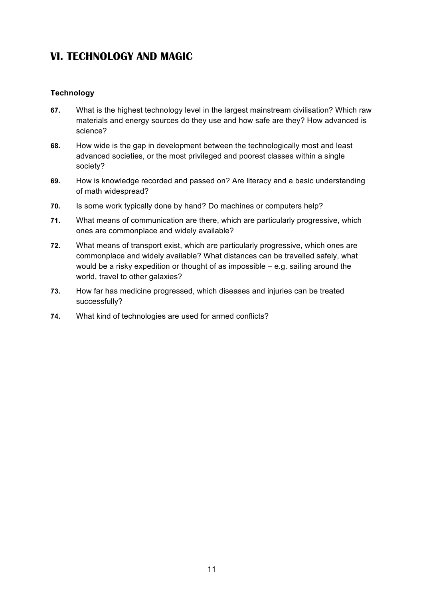### <span id="page-10-0"></span>**VI. TECHNOLOGY AND MAGIC**

#### <span id="page-10-1"></span>**Technology**

- **67.** What is the highest technology level in the largest mainstream civilisation? Which raw materials and energy sources do they use and how safe are they? How advanced is science?
- **68.** How wide is the gap in development between the technologically most and least advanced societies, or the most privileged and poorest classes within a single society?
- **69.** How is knowledge recorded and passed on? Are literacy and a basic understanding of math widespread?
- **70.** Is some work typically done by hand? Do machines or computers help?
- **71.** What means of communication are there, which are particularly progressive, which ones are commonplace and widely available?
- **72.** What means of transport exist, which are particularly progressive, which ones are commonplace and widely available? What distances can be travelled safely, what would be a risky expedition or thought of as impossible – e.g. sailing around the world, travel to other galaxies?
- **73.** How far has medicine progressed, which diseases and injuries can be treated successfully?
- **74.** What kind of technologies are used for armed conflicts?